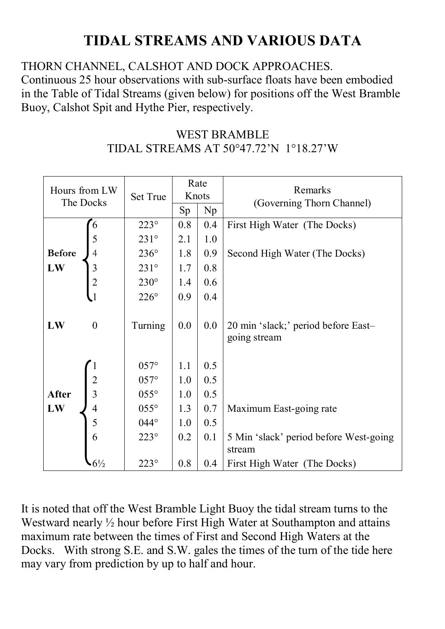## **TIDAL STREAMS AND VARIOUS DATA**

THORN CHANNEL, CALSHOT AND DOCK APPROACHES.

Continuous 25 hour observations with sub-surface floats have been embodied in the Table of Tidal Streams (given below) for positions off the West Bramble Buoy, Calshot Spit and Hythe Pier, respectively.

| <b>WEST BRAMBLE</b>                   |  |
|---------------------------------------|--|
| TIDAL STREAMS AT 50°47.72'N 1°18.27'W |  |

| Hours from LW<br>The Docks | <b>Set True</b>  | Rate<br>Knots |     | Remarks<br>(Governing Thorn Channel) |                                                     |
|----------------------------|------------------|---------------|-----|--------------------------------------|-----------------------------------------------------|
|                            |                  | Sp            | Np  |                                      |                                                     |
|                            | 6                | $223^\circ$   | 0.8 | 0.4                                  | First High Water (The Docks)                        |
|                            |                  | $231^\circ$   | 2.1 | 1.0                                  |                                                     |
| <b>Before</b>              |                  | $236^\circ$   | 1.8 | 0.9                                  | Second High Water (The Docks)                       |
| LW                         | 3                | $231^\circ$   | 1.7 | 0.8                                  |                                                     |
|                            |                  | $230^\circ$   | 1.4 | 0.6                                  |                                                     |
|                            | $\frac{2}{1}$    | $226^\circ$   | 0.9 | 0.4                                  |                                                     |
| LW                         | $\boldsymbol{0}$ | Turning       | 0.0 | 0.0                                  | 20 min 'slack;' period before East-<br>going stream |
|                            |                  | $057^\circ$   | 1.1 | 0.5                                  |                                                     |
|                            |                  | $057^\circ$   | 1.0 | 0.5                                  |                                                     |
| <b>After</b>               | $\frac{2}{3}$    | $055^\circ$   | 1.0 | 0.5                                  |                                                     |
| LW                         | $\overline{4}$   | $055^\circ$   | 1.3 | 0.7                                  | Maximum East-going rate                             |
|                            | 5                | $044^\circ$   | 1.0 | 0.5                                  |                                                     |
|                            | 6                | $223^\circ$   | 0.2 | 0.1                                  | 5 Min 'slack' period before West-going              |
|                            |                  |               |     |                                      | stream                                              |
|                            | $6\frac{1}{2}$   | $223^\circ$   | 0.8 | 0.4                                  | First High Water (The Docks)                        |

It is noted that off the West Bramble Light Buoy the tidal stream turns to the Westward nearly  $\frac{1}{2}$  hour before First High Water at Southampton and attains maximum rate between the times of First and Second High Waters at the Docks. With strong S.E. and S.W. gales the times of the turn of the tide here may vary from prediction by up to half and hour.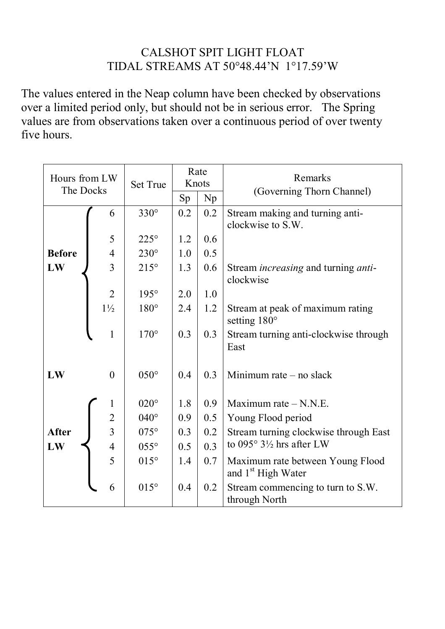## CALSHOT SPIT LIGHT FLOAT TIDAL STREAMS AT 50°48.44'N 1°17.59'W

The values entered in the Neap column have been checked by observations over a limited period only, but should not be in serious error. The Spring values are from observations taken over a continuous period of over twenty five hours.

| Hours from LW<br>The Docks |                | <b>Set True</b> | Rate<br>Knots<br>Sp | Np  | Remarks<br>(Governing Thorn Channel)                               |
|----------------------------|----------------|-----------------|---------------------|-----|--------------------------------------------------------------------|
|                            | 6              | $330^\circ$     | 0.2                 | 0.2 | Stream making and turning anti-<br>clockwise to S.W.               |
|                            | 5              | $225^\circ$     | 1.2                 | 0.6 |                                                                    |
| <b>Before</b>              | $\overline{4}$ | $230^\circ$     | 1.0                 | 0.5 |                                                                    |
|                            | $\overline{3}$ |                 |                     |     |                                                                    |
| LW                         |                | $215^\circ$     | 1.3                 | 0.6 | Stream <i>increasing</i> and turning <i>anti</i> -<br>clockwise    |
|                            | $\overline{2}$ | $195^\circ$     | 2.0                 | 1.0 |                                                                    |
|                            | $1\frac{1}{2}$ | $180^\circ$     | 2.4                 | 1.2 | Stream at peak of maximum rating<br>setting 180°                   |
|                            | $\mathbf{1}$   | $170^\circ$     | 0.3                 | 0.3 | Stream turning anti-clockwise through<br>East                      |
| LW                         | $\overline{0}$ | $050^\circ$     | 0.4                 | 0.3 | Minimum rate $-$ no slack                                          |
|                            | $\mathbf 1$    | $020^\circ$     | 1.8                 | 0.9 | Maximum rate $- N.N.E.$                                            |
|                            | $\overline{c}$ | $040^\circ$     | 0.9                 | 0.5 | Young Flood period                                                 |
| <b>After</b>               | $\overline{3}$ | $075^\circ$     | 0.3                 | 0.2 | Stream turning clockwise through East                              |
| LW                         | $\overline{4}$ | $055^\circ$     | 0.5                 | 0.3 | to 095° $3\frac{1}{2}$ hrs after LW                                |
|                            | 5              | $015^\circ$     | 1.4                 | 0.7 | Maximum rate between Young Flood<br>and 1 <sup>st</sup> High Water |
|                            | 6              | $015^\circ$     | 0.4                 | 0.2 | Stream commencing to turn to S.W.<br>through North                 |